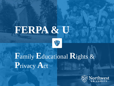# **FERPA & U** 野

### **F**amily **E**ducational **R**ights & **P**rivacy **A**ct

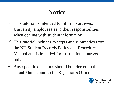### **Notice**

- $\checkmark$  This tutorial is intended to inform Northwest University employees as to their responsibilities when dealing with student information.
- $\checkmark$  This tutorial includes excerpts and summaries from the NU Student Records Policy and Procedures Manual and is intended for instructional purposes only.
- $\checkmark$  Any specific questions should be referred to the actual Manual and to the Registrar's Office.

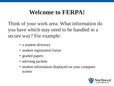### **Welcome to FERPA!**

Think of your work area. What information do you have which may need to be handled in a secure way? For example:

- a student directory
- student registration forms
- graded papers
- advising packets
- student information displayed on your computer screen

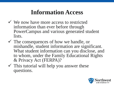### **Information Access**

- ✓ We now have more access to restricted information than ever before through PowerCampus and various generated student lists.
- ✓ The consequences of how we handle, or mishandle, student information are significant. What student information can you disclose, and to whom, under the Family Educational Rights & Privacy Act (FERPA)?
- $\checkmark$  This tutorial will help you answer these questions.

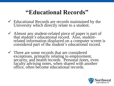#### **"Educational Records"**

- $\checkmark$  Educational Records are records maintained by the University which directly relate to a student.
- ✓ Almost any student-related piece of paper is part of that student's educational record. Also, studentrelated information displayed on a computer screen is considered part of the student's educational record.
- $\checkmark$  There are some records that are considered exceptions, primarily relating to employment, security, and health records. Personal notes, even faculty advising notes, when shared with another office, often become educational records.

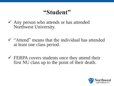#### **"Student"**

- $\checkmark$  Any person who attends or has attended Northwest University.
- ✓ "Attend" means that the individual has attended at least one class period.
- $\checkmark$  FERPA covers students once they attend their first NU class up to the point of their death.

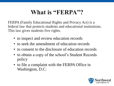### What is "FERPA"?

FERPA (Family Educational Rights and Privacy Act) is a federal law that protects students and educational institutions. This law gives students five rights.

- to inspect and review education records
- to seek the amendment of education records
- to consent to the disclosure of education records
- to obtain a copy of the school's Student Records policy
- to file a complaint with the FERPA Office in Washington, D.C.

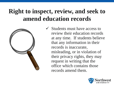### **Right to inspect, review, and seek to amend education records**



 $\checkmark$  Students must have access to review their education records at any time. If students believe that any information in their records is inaccurate, misleading, or in violation of their privacy rights, they may request in writing that the office which contains those records amend them.

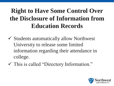### **Right to Have Some Control Over the Disclosure of Information from Education Records**

- ✓ Students automatically allow Northwest University to release some limited information regarding their attendance in college.
- ✓ This is called "Directory Information."

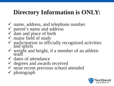### **Directory Information is ONLY:**

- $\checkmark$  name, address, and telephone number
- $\checkmark$  parent's name and address
- $\checkmark$  date and place of birth
- $\checkmark$  major field of study
- $\checkmark$  participation in officially recognized activities and sports
- $\checkmark$  weight and height, if a member of an athletic team
- $\checkmark$  dates of attendance
- $\checkmark$  degrees and awards received
- $\checkmark$  most recent previous school attended
- $\checkmark$  photograph

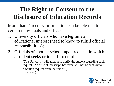### **The Right to Consent to the Disclosure of Education Records**

More than Directory Information can be released to certain individuals and offices:

- 1. University officials who have legitimate educational interest (need to know to fulfill official responsibilities);
- 2. Officials of another school, upon request, in which a student seeks or intends to enroll.

(The University will attempt to notify the student regarding such request. An official transcript, however, will not be sent without a written request from the student.) *(continued)*

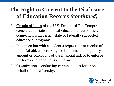#### **The Right to Consent to the Disclosure of Education Records** *(continued)*

- 3. Certain officials of the U.S. Depart. of Ed, Comptroller General, and state and local educational authorities, in connection with certain state or federally supported educational programs;
- 4. In connection with a student's request for or receipt of financial aid, as necessary to determine the eligibility, amount or conditions of the financial aid, or to enforce the terms and conditions of the aid;
- 5. Organizations conducting certain studies for or on behalf of the University;

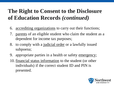#### **The Right to Consent to the Disclosure of Education Records** *(continued)*

- 6. accrediting organizations to carry out their functions;
- 7. parents of an eligible student who claim the student as a dependent for income tax purposes;
- 8. to comply with a judicial order or a lawfully issued subpoena;
- 9. appropriate parties in a health or safety emergency;
- 10. financial status information to the student (or other individuals) if the correct student ID and PIN is presented.

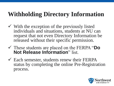### **Withholding Directory Information**

- $\checkmark$  With the exception of the previously listed individuals and situations, students at NU can request that not even Directory Information be released without their specific permission.
- ✓ These students are placed on the FERPA "**Do Not Release Information**" list.
- $\checkmark$  Each semester, students renew their FERPA status by completing the online Pre-Registration process.

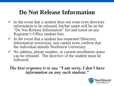### **Do Not Release Information**

- $\checkmark$  In the event that a student does not want even directory information to be released, his/her name will be on the "Do Not Release Information" list and noted on any Registrar's Office student lists.
- $\checkmark$  In the event that a student has requested Directory Information restriction, one cannot even confirm that the individual attends Northwest University.
- $\checkmark$  No address, phone number, or current enrollment status can be released. The directive of the student must be followed.

#### *The best response is to say, "I am sorry, I don't have information on any such student."*

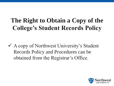### **The Right to Obtain a Copy of the College's Student Records Policy**

 $\checkmark$  A copy of Northwest University's Student Records Policy and Procedures can be obtained from the Registrar's Office.

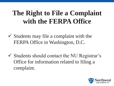### **The Right to File a Complaint with the FERPA Office**

- $\checkmark$  Students may file a complaint with the FERPA Office in Washington, D.C.
- $\checkmark$  Students should contact the NU Registrar's Office for information related to filing a complaint.

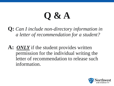**Q:** *Can I include non-directory information in a letter of recommendation for a student?*

**A:** *ONLY* if the student provides written permission for the individual writing the letter of recommendation to release such information.

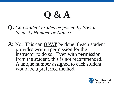**Q:** *Can student grades be posted by Social Security Number or Name?*

**A:** No. This can *ONLY* be done if each student provides written permission for the instructor to do so. Even with permission from the student, this is not recommended. A unique number assigned to each student would be a preferred method.

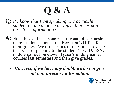**Q:** *If I know that I am speaking to a particular student on the phone, can I give him/her nondirectory information?*

**A:** No - But…. For instance, at the end of a semester, many students contact the Registrar's Office for their grades. We use a series of questions to verify that we are speaking to the student (i.e.: ID, SSN, middle name, hometown, father's middle name, courses last semester) and then give grades.

➢ *However, if we have any doubt, we do not give out non-directory information.*

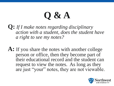- **Q:** *If I make notes regarding disciplinary action with a student, does the student have a right to see my notes?*
- **A:** If you share the notes with another college person or office, then they become part of their educational record and the student can request to view the notes. As long as they are just "your" notes, they are not viewable.

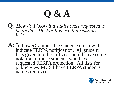- **Q:** *How do I know if a student has requested to be on the "Do Not Release Information" list?*
- **A:** In PowerCampus, the student screen will indicate FERPA notification. All student lists given to other offices should have some notation of those students who have requested FERPA protection. All lists for public view MUST have FERPA student's names removed.

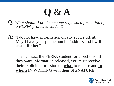**Q:** *What should I do if someone requests information of a FERPA protected student?*

**A:** "I do not have information on any such student. May I have your phone number/address and I will check further."

Then contact the FERPA student for directions. If they want information released, you must receive their explicit permission on **what** to release and **to whom** IN WRITING with their SIGNATURE.

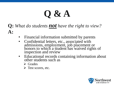#### **Q:** *What do students not have the right to view?* **A:**

- Financial information submitted by parents
- Confidential letters, etc., associated with admissions, employment, job placement or honors to which a student has waived rights of inspection and review
- Educational records containing information about other students such as
	- ➢ Grades
	- $\triangleright$  Test scores, etc.

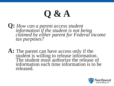- **Q:** *How can a parent access student information if the student is not being claimed by either parent for Federal income tax purposes?*
- **A:** The parent can have access only if the student is willing to release information. The student must authorize the release of information each time information is to be released.

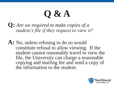**Q:** *Are we required to make copies of a student's file if they request to view it?*

**A:** No, unless refusing to do so would constitute refusal to allow viewing. If the student cannot reasonably travel to view the file, the University can charge a reasonable copying and mailing fee and send a copy of the information to the student.

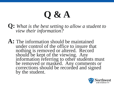**Q:** *What is the best setting to allow a student to view their information?* 

**A:** The information should be maintained under control of the office to insure that nothing is removed or altered. Record should be kept of the viewing. Any information referring to other students must be removed or masked. Any comments or corrections should be recorded and signed by the student.

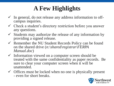### **A Few Highlights**

- $\checkmark$  In general, do not release any address information to offcampus inquiries.
- $\checkmark$  Check a student's directory restriction before you answer any questions.
- $\checkmark$  Students may authorize the release of any information by providing a signed release.
- $\checkmark$  Remember the NU Student Records Policy can be found on the shared drive (*n:\shared\registrar\FERPA Manual.doc*)
- $\checkmark$  Information viewed on a computer screen should be treated with the same confidentiality as paper records. Be sure to clear your computer screen when it will be unattended.
- $\checkmark$  Offices must be locked when no one is physically present - even for short breaks.

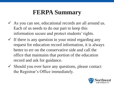### **FERPA Summary**

- $\checkmark$  As you can see, educational records are all around us. Each of us needs to do our part to keep this information secure and protect students' rights.
- $\checkmark$  If there is any question in your mind regarding any request for education record information, it is always better to err on the conservative side and call the office that maintains that portion of the education record and ask for guidance.
- $\checkmark$  Should you ever have any questions, please contact the Registrar's Office immediately.

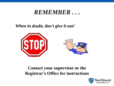#### *REMEMBER . . .*

#### *When in doubt, don't give it out!*



#### **Contact your supervisor or the Registrar's Office for instructions**